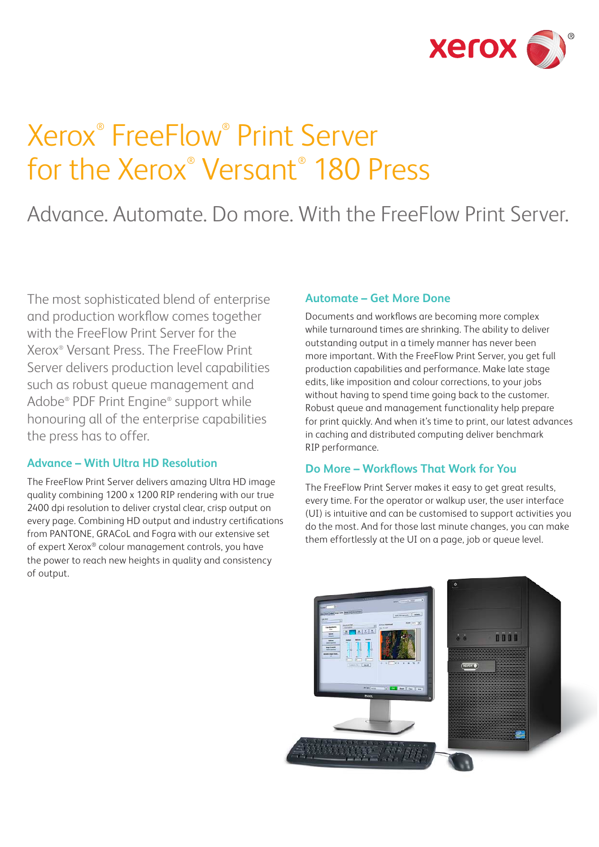

# Xerox® FreeFlow® Print Server for the Xerox® Versant® 180 Press

# Advance. Automate. Do more. With the FreeFlow Print Server.

The most sophisticated blend of enterprise and production workflow comes together with the FreeFlow Print Server for the Xerox® Versant Press. The FreeFlow Print Server delivers production level capabilities such as robust queue management and Adobe® PDF Print Engine® support while honouring all of the enterprise capabilities the press has to offer.

#### **Advance – With Ultra HD Resolution**

The FreeFlow Print Server delivers amazing Ultra HD image quality combining 1200 x 1200 RIP rendering with our true 2400 dpi resolution to deliver crystal clear, crisp output on every page. Combining HD output and industry certifications from PANTONE, GRACoL and Fogra with our extensive set of expert Xerox® colour management controls, you have the power to reach new heights in quality and consistency of output.

#### **Automate – Get More Done**

Documents and workflows are becoming more complex while turnaround times are shrinking. The ability to deliver outstanding output in a timely manner has never been more important. With the FreeFlow Print Server, you get full production capabilities and performance. Make late stage edits, like imposition and colour corrections, to your jobs without having to spend time going back to the customer. Robust queue and management functionality help prepare for print quickly. And when it's time to print, our latest advances in caching and distributed computing deliver benchmark RIP performance.

#### **Do More – Workflows That Work for You**

The FreeFlow Print Server makes it easy to get great results, every time. For the operator or walkup user, the user interface (UI) is intuitive and can be customised to support activities you do the most. And for those last minute changes, you can make them effortlessly at the UI on a page, job or queue level.